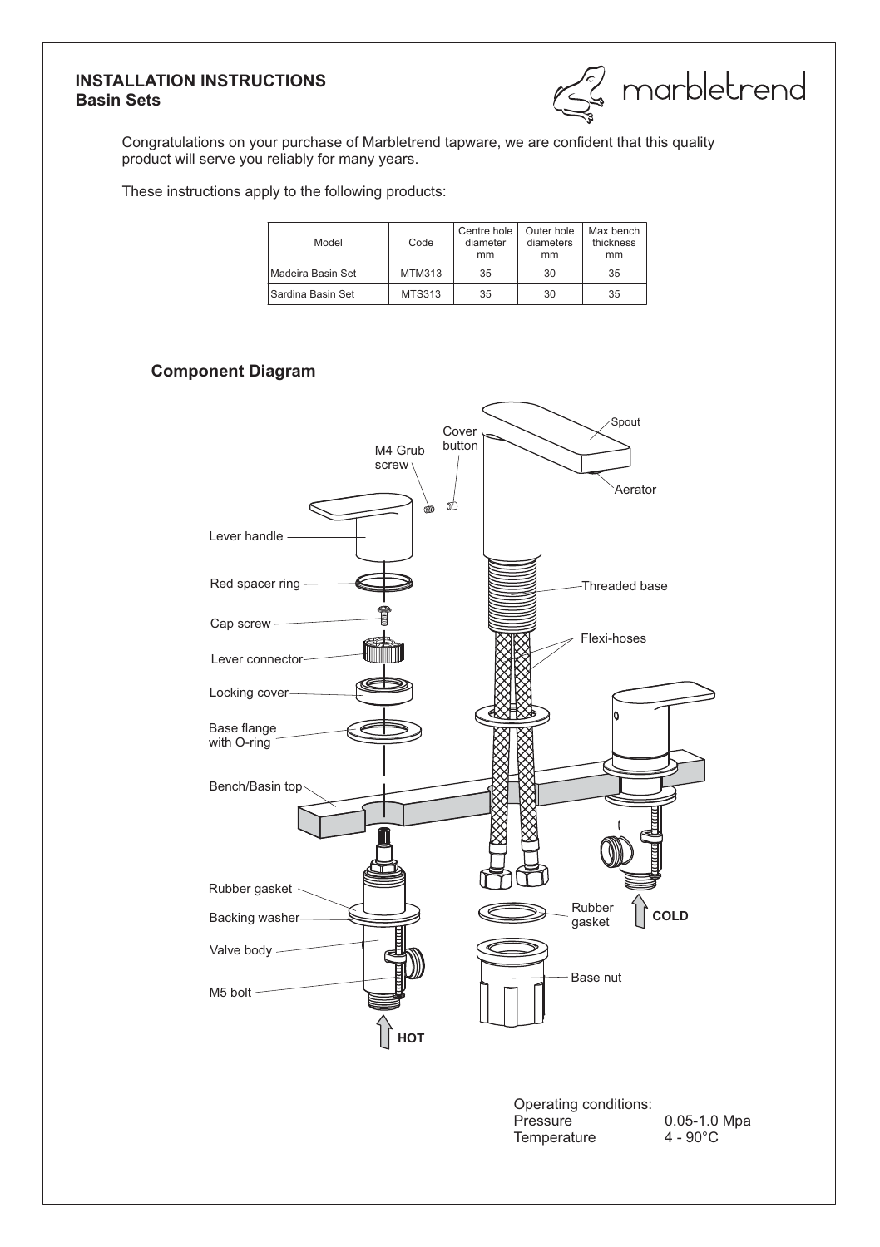## **INSTALLATION INSTRUCTIONS Basin Sets**

& marbletrend

Congratulations on your purchase of Marbletrend tapware, we are confident that this quality product will serve you reliably for many years.

These instructions apply to the following products:

| Model             | Code   | Centre hole<br>diameter<br>mm | Outer hole<br>diameters<br>mm | Max bench<br>thickness<br>mm |
|-------------------|--------|-------------------------------|-------------------------------|------------------------------|
| Madeira Basin Set | MTM313 | 35                            | 30                            | 35                           |
| Sardina Basin Set | MTS313 | 35                            | 30                            | 35                           |

# **Component Diagram**